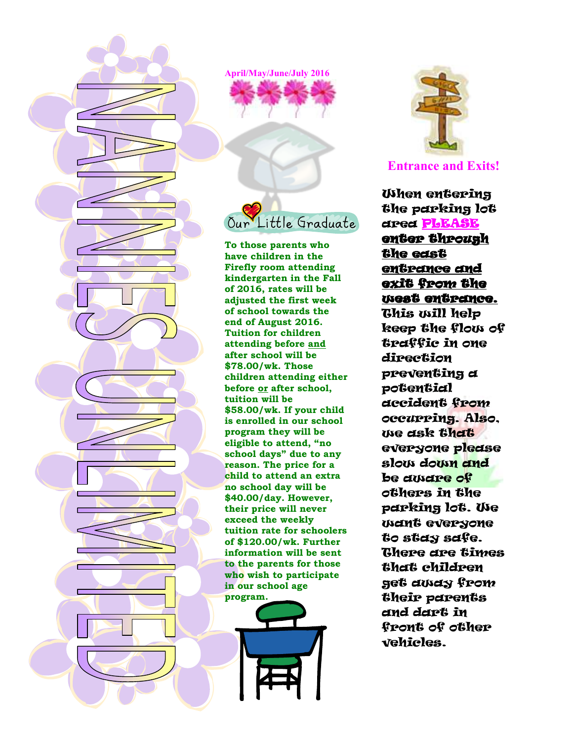

**April/May/June/July 2016** 

**To those parents who have children in the Firefly room attending kindergarten in the Fall of 2016, rates will be adjusted the first week of school towards the end of August 2016. Tuition for children attending before and after school will be \$78.00/wk. Those children attending either before or after school, tuition will be \$58.00/wk. If your child is enrolled in our school program they will be eligible to attend, "no school days" due to any reason. The price for a child to attend an extra no school day will be \$40.00/day. However, their price will never exceed the weekly tuition rate for schoolers of \$120.00/wk. Further information will be sent to the parents for those who wish to participate in our school age program.** 





**Entrance and Exits!**

When entering the parking lot area PLEASE enter through the east entrance and exit from the west entrance. This will help keep the flow of traffic in one direction preventing a potential accident from occurring. Also, we ask that everyone please slow down and be aware of others in the parking lot. We want everyone to stay safe. There are times that children get away from their parents and dart in front of other vehicles.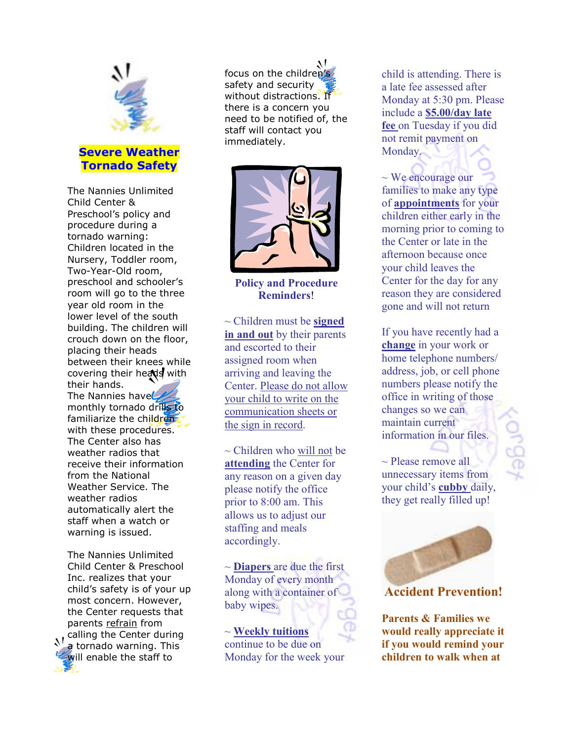

The Nannies Unlimited Child Center & Preschool's policy and procedure during a tornado warning: Children located in the Nursery, Toddler room, Two-Year-Old room, preschool and schooler's room will go to the three year old room in the lower level of the south building. The children will crouch down on the floor, placing their heads between their knees while covering their heads with their hands. The Nannies have monthly tornado drills to familiarize the childrenwith these procedures. The Center also has weather radios that receive their information from the National Weather Service. The weather radios automatically alert the staff when a watch or warning is issued.

The Nannies Unlimited Child Center & Preschool Inc. realizes that your child's safety is of your up most concern. However, the Center requests that parents refrain from  $\sum$  calling the Center during a tornado warning. This will enable the staff to

focus on the children's safety and security without distractions. If there is a concern you need to be notified of, the staff will contact you immediately.



**Policy and Procedure Reminders**!

~ Children must be **signed in and out** by their parents and escorted to their assigned room when arriving and leaving the Center. Please do not allow your child to write on the communication sheets or the sign in record.

 $\sim$  Children who will not be **attending** the Center for any reason on a given day please notify the office prior to 8:00 am. This allows us to adjust our staffing and meals accordingly.

~ **Diapers** are due the first Monday of every month along with a container of baby wipes.

~ **Weekly tuitions** continue to be due on Monday for the week your child is attending. There is a late fee assessed after Monday at 5:30 pm. Please include a **\$5.00/day late fee** on Tuesday if you did not remit payment on Monday.

 $\sim$  We encourage our families to make any type of **appointments** for your children either early in the morning prior to coming to the Center or late in the afternoon because once your child leaves the Center for the day for any reason they are considered gone and will not return

If you have recently had a **change** in your work or home telephone numbers/ address, job, or cell phone numbers please notify the office in writing of those changes so we can maintain current information in our files. Z

 $\sim$  Please remove all unnecessary items from your child's **cubby** daily, they get really filled up!



**Accident Prevention!**

**Parents & Families we would really appreciate it if you would remind your children to walk when at**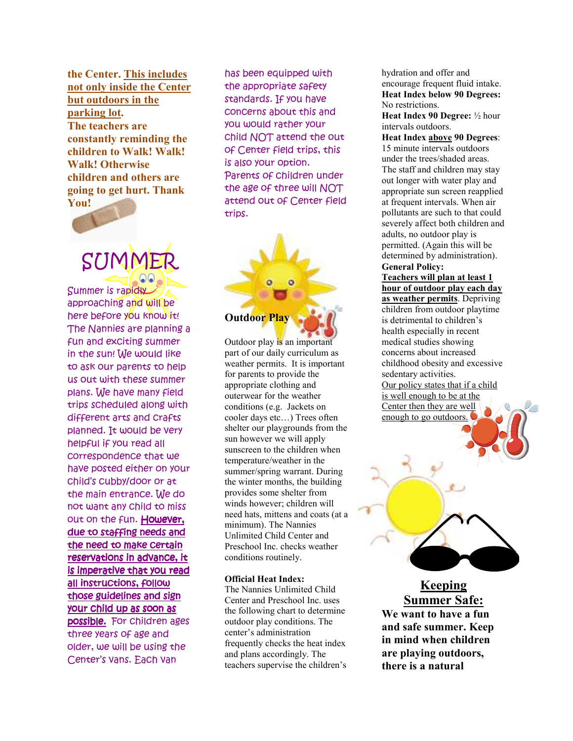**the Center. This includes not only inside the Center but outdoors in the parking lot. The teachers are constantly reminding the children to Walk! Walk! Walk! Otherwise children and others are going to get hurt. Thank You!** 



SUMME Summer is rapidly

approaching and will be here before you know it! The Nannies are planning a fun and exciting summer in the sun! We would like to ask our parents to help us out with these summer plans. We have many field trips scheduled along with different arts and crafts planned. It would be very helpful if you read all correspondence that we have posted either on your child's cubby/door or at the main entrance. We do not want any child to miss out on the fun. However, due to staffing needs and the need to make certain reservations in advance, it is imperative that you read all instructions, follow those guidelines and sign your child up as soon as possible. For children ages three years of age and older, we will be using the Center's vans. Each van

has been equipped with the appropriate safety standards. If you have concerns about this and you would rather your child NOT attend the out of Center field trips, this is also your option. Parents of children under the age of three will NOT attend out of Center field trips.

## **Outdoor Play**

Outdoor play is an important part of our daily curriculum as weather permits. It is important for parents to provide the appropriate clothing and outerwear for the weather conditions (e.g. Jackets on cooler days etc…) Trees often shelter our playgrounds from the sun however we will apply sunscreen to the children when temperature/weather in the summer/spring warrant. During the winter months, the building provides some shelter from winds however; children will need hats, mittens and coats (at a minimum). The Nannies Unlimited Child Center and Preschool Inc. checks weather conditions routinely.

#### **Official Heat Index:**

The Nannies Unlimited Child Center and Preschool Inc. uses the following chart to determine outdoor play conditions. The center's administration frequently checks the heat index and plans accordingly. The teachers supervise the children's hydration and offer and encourage frequent fluid intake. **Heat Index below 90 Degrees:** No restrictions.

**Heat Index 90 Degree:** ½ hour intervals outdoors.

**Heat Index above 90 Degrees**: 15 minute intervals outdoors under the trees/shaded areas. The staff and children may stay out longer with water play and appropriate sun screen reapplied at frequent intervals. When air pollutants are such to that could severely affect both children and adults, no outdoor play is permitted. (Again this will be determined by administration). **General Policy:** 

**Teachers will plan at least 1 hour of outdoor play each day as weather permits**. Depriving children from outdoor playtime is detrimental to children's health especially in recent medical studies showing concerns about increased childhood obesity and excessive sedentary activities. Our policy states that if a child is well enough to be at the Center then they are well enough to go outdoors.



**Keeping Summer Safe: We want to have a fun and safe summer. Keep in mind when children are playing outdoors, there is a natural**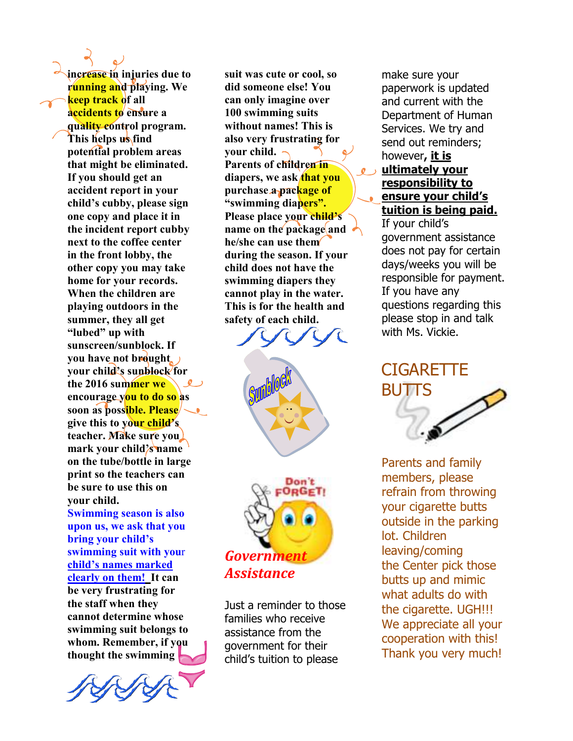**increase in injuries due to running and playing. We keep track of all accidents to ensure a quality control program. This helps us find potential problem areas that might be eliminated. If you should get an accident report in your child's cubby, please sign one copy and place it in the incident report cubby next to the coffee center in the front lobby, the other copy you may take home for your records. When the children are playing outdoors in the summer, they all get "lubed" up with sunscreen/sunblock. If you have not brought your child's sunblock for the 2016 summer we encourage you to do so as soon as possible. Please**  $\sim$ **give this to your child's teacher. Make sure you mark your child's name on the tube/bottle in large print so the teachers can be sure to use this on your child. Swimming season is also upon us, we ask that you bring your child's swimming suit with you**r **child's names marked clearly on them! It can be very frustrating for the staff when they cannot determine whose swimming suit belongs to** 

**whom. Remember, if you thought the swimming** 

**suit was cute or cool, so did someone else! You can only imagine over 100 swimming suits without names! This is also very frustrating for your child. Parents of children in** diapers, we ask **that you purchase a package of "swimming diapers". Please place your child's name on the package and he/she can use them during the season. If your child does not have the swimming diapers they cannot play in the water. This is for the health and safety of each child.** 





Just a reminder to those families who receive assistance from the government for their child's tuition to please

make sure your paperwork is updated and current with the Department of Human Services. We try and send out reminders; however**, it is ultimately your responsibility to ensure your child's tuition is being paid.** If your child's

government assistance does not pay for certain days/weeks you will be responsible for payment. If you have any questions regarding this please stop in and talk with Ms. Vickie.

# **CIGARETTE** BUTTS

Parents and family members, please refrain from throwing your cigarette butts outside in the parking lot. Children leaving/coming the Center pick those butts up and mimic what adults do with the cigarette. UGH!!! We appreciate all your cooperation with this! Thank you very much!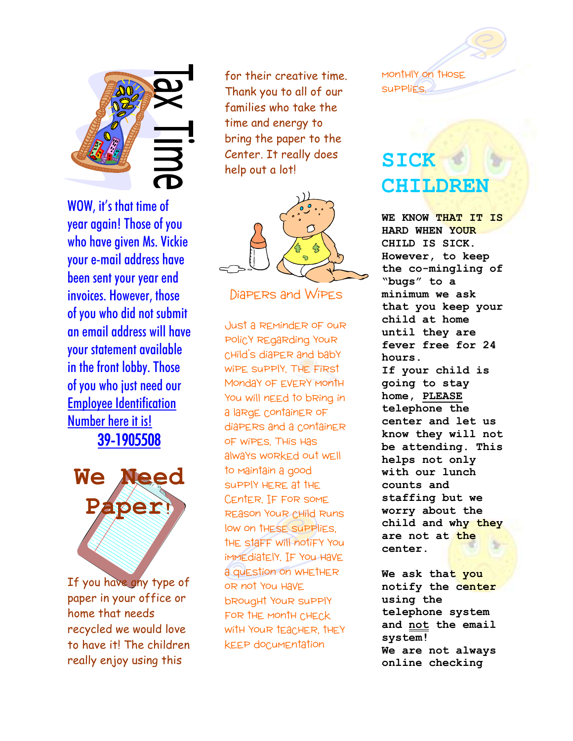

WOW, it's that time of year again! Those of you who have given Ms. Vickie your e-mail address have been sent your year end invoices. However, those of you who did not submit an email address will have your statement available in the front lobby. Those of you who just need our Employee Identification Number here it is! 39-1905508



If you have any type of paper in your office or home that needs recycled we would love to have it! The children really enjoy using this

for their creative time. Thank you to all of our families who take the time and energy to bring the paper to the Center. It really does help out a lot!



Diapers and Wipes

Just a reminder of our policy regarding your child's diaper and baby wipe supply. The first Monday of EVERY Month You will nEEd to bRing in a large container of diapers and a container of wipes. This has always worked out well to maintain a good supply here at the Center. If for some REASON YOUR CHILD RUNS low on these supplies, the staff will notify you immediately. If you have a question on whether or not you have brought your supply for the month check with your teacher, they keep documentation

monthly on those **SUPPLIES** 

# **SICK CHILDREN**

**WE KNOW THAT IT IS HARD WHEN YOUR CHILD IS SICK. However, to keep the co-mingling of "bugs" to a minimum we ask that you keep your child at home until they are fever free for 24 hours. If your child is going to stay home, PLEASE telephone the center and let us know they will not be attending. This helps not only with our lunch counts and staffing but we worry about the child and why they are not at the center.** 

**We ask that you notify the center using the telephone system and not the email system! We are not always online checking**